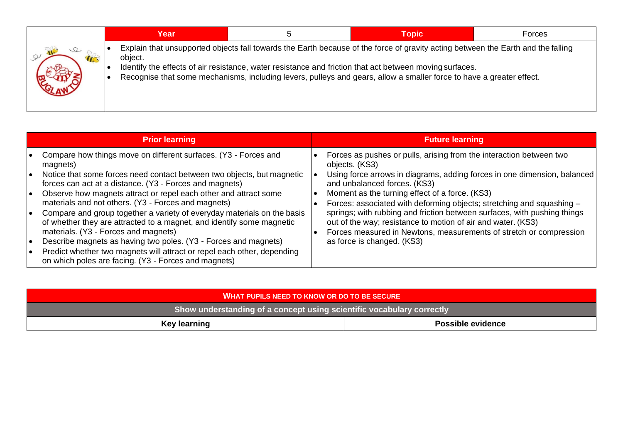| Year    | .5 | Topic                                                                                                                                                                                                                                                                                                                                                               | Forces |
|---------|----|---------------------------------------------------------------------------------------------------------------------------------------------------------------------------------------------------------------------------------------------------------------------------------------------------------------------------------------------------------------------|--------|
| object. |    | Explain that unsupported objects fall towards the Earth because of the force of gravity acting between the Earth and the falling<br>Identify the effects of air resistance, water resistance and friction that act between moving surfaces.<br>Recognise that some mechanisms, including levers, pulleys and gears, allow a smaller force to have a greater effect. |        |

|                                     | <b>Prior learning</b>                                                                                                                                                                                                                                                                                                                                                                          | <b>Future learning</b>                                                                                                                                                                                                                                                                                                       |  |
|-------------------------------------|------------------------------------------------------------------------------------------------------------------------------------------------------------------------------------------------------------------------------------------------------------------------------------------------------------------------------------------------------------------------------------------------|------------------------------------------------------------------------------------------------------------------------------------------------------------------------------------------------------------------------------------------------------------------------------------------------------------------------------|--|
| ∣ ●<br>l o                          | Compare how things move on different surfaces. (Y3 - Forces and<br>magnets)<br>Notice that some forces need contact between two objects, but magnetic<br>forces can act at a distance. (Y3 - Forces and magnets)<br>Observe how magnets attract or repel each other and attract some<br>materials and not others. (Y3 - Forces and magnets)                                                    | Forces as pushes or pulls, arising from the interaction between two<br>objects. (KS3)<br>Using force arrows in diagrams, adding forces in one dimension, balanced<br>and unbalanced forces. (KS3)<br>Moment as the turning effect of a force. (KS3)<br>Forces: associated with deforming objects; stretching and squashing - |  |
| $\bullet$<br>$\bullet$<br>$\bullet$ | Compare and group together a variety of everyday materials on the basis<br>of whether they are attracted to a magnet, and identify some magnetic<br>materials. (Y3 - Forces and magnets)<br>Describe magnets as having two poles. (Y3 - Forces and magnets)<br>Predict whether two magnets will attract or repel each other, depending<br>on which poles are facing. (Y3 - Forces and magnets) | springs; with rubbing and friction between surfaces, with pushing things<br>out of the way; resistance to motion of air and water. (KS3)<br>Forces measured in Newtons, measurements of stretch or compression<br>as force is changed. (KS3)                                                                                 |  |

| <b>WHAT PUPILS NEED TO KNOW OR DO TO BE SECURE</b>                    |                          |  |  |  |
|-----------------------------------------------------------------------|--------------------------|--|--|--|
| Show understanding of a concept using scientific vocabulary correctly |                          |  |  |  |
| Key learning                                                          | <b>Possible evidence</b> |  |  |  |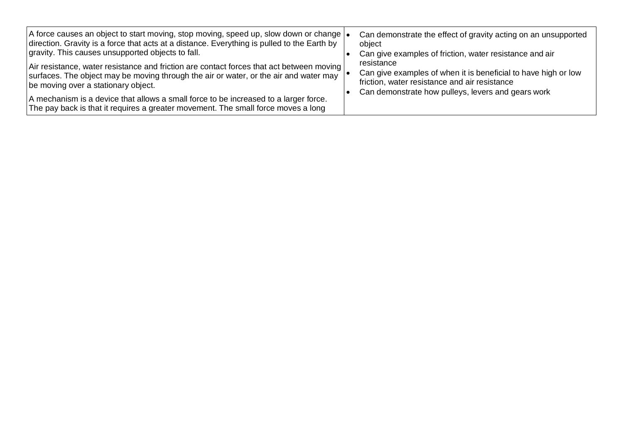| A force causes an object to start moving, stop moving, speed up, slow down or change $\cdot$<br>direction. Gravity is a force that acts at a distance. Everything is pulled to the Earth by<br>gravity. This causes unsupported objects to fall. | Can demonstrate the effect of gravity acting on an unsupported<br>object<br>Can give examples of friction, water resistance and air                                                 |  |
|--------------------------------------------------------------------------------------------------------------------------------------------------------------------------------------------------------------------------------------------------|-------------------------------------------------------------------------------------------------------------------------------------------------------------------------------------|--|
| Air resistance, water resistance and friction are contact forces that act between moving<br>surfaces. The object may be moving through the air or water, or the air and water may<br>be moving over a stationary object.                         | resistance<br>Can give examples of when it is beneficial to have high or low<br>friction, water resistance and air resistance<br>Can demonstrate how pulleys, levers and gears work |  |
| A mechanism is a device that allows a small force to be increased to a larger force.<br>The pay back is that it requires a greater movement. The small force moves a long                                                                        |                                                                                                                                                                                     |  |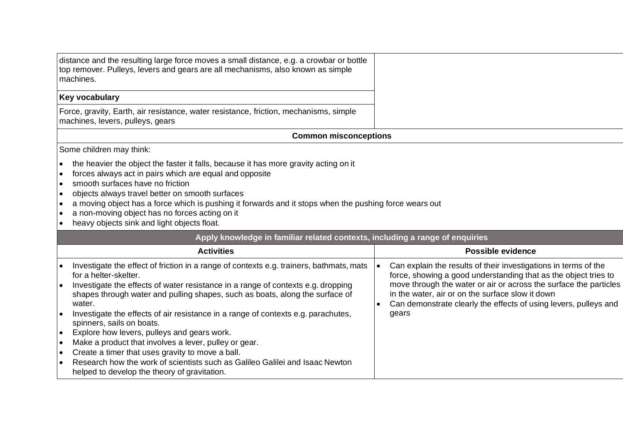| distance and the resulting large force moves a small distance, e.g. a crowbar or bottle<br>top remover. Pulleys, levers and gears are all mechanisms, also known as simple<br>machines. |
|-----------------------------------------------------------------------------------------------------------------------------------------------------------------------------------------|
| <b>Key vocabulary</b>                                                                                                                                                                   |
| Force, gravity, Earth, air resistance, water resistance, friction, mechanisms, simple<br>machines, levers, pulleys, gears                                                               |
|                                                                                                                                                                                         |

## **Common misconceptions**

Some children may think:

- the heavier the object the faster it falls, because it has more gravity acting on it
- forces always act in pairs which are equal and opposite
- smooth surfaces have no friction
- objects always travel better on smooth surfaces
- $\cdot$  a moving object has a force which is pushing it forwards and it stops when the pushing force wears out
- a non-moving object has no forces acting on it
- heavy objects sink and light objects float.

| Apply knowledge in familiar related contexts, including a range of enquiries                                                                                               |  |                                                                                                                                                                                           |  |  |
|----------------------------------------------------------------------------------------------------------------------------------------------------------------------------|--|-------------------------------------------------------------------------------------------------------------------------------------------------------------------------------------------|--|--|
| <b>Activities</b>                                                                                                                                                          |  | Possible evidence                                                                                                                                                                         |  |  |
| Investigate the effect of friction in a range of contexts e.g. trainers, bathmats, mats<br>for a helter-skelter.                                                           |  | Can explain the results of their investigations in terms of the<br>force, showing a good understanding that as the object tries to                                                        |  |  |
| Investigate the effects of water resistance in a range of contexts e.g. dropping<br>shapes through water and pulling shapes, such as boats, along the surface of<br>water. |  | move through the water or air or across the surface the particles<br>in the water, air or on the surface slow it down<br>Can demonstrate clearly the effects of using levers, pulleys and |  |  |
| Investigate the effects of air resistance in a range of contexts e.g. parachutes,<br>spinners, sails on boats.                                                             |  | gears                                                                                                                                                                                     |  |  |
| Explore how levers, pulleys and gears work.                                                                                                                                |  |                                                                                                                                                                                           |  |  |
| Make a product that involves a lever, pulley or gear.                                                                                                                      |  |                                                                                                                                                                                           |  |  |
| Create a timer that uses gravity to move a ball.                                                                                                                           |  |                                                                                                                                                                                           |  |  |
| Research how the work of scientists such as Galileo Galilei and Isaac Newton<br>helped to develop the theory of gravitation.                                               |  |                                                                                                                                                                                           |  |  |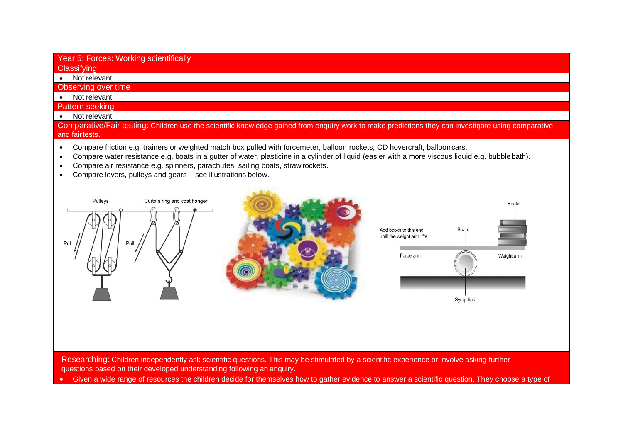## Year 5: Forces: Working scientifically

**Classifying** 

• Not relevant

## Observing over time

- Not relevant
- Pattern seeking
- Not relevant

Comparative/Fair testing: Children use the scientific knowledge gained from enquiry work to make predictions they can investigate using comparative and fairtests.

- Compare friction e.g. trainers or weighted match box pulled with forcemeter, balloon rockets, CD hovercraft, ballooncars.
- Compare water resistance e.g. boats in a gutter of water, plasticine in a cylinder of liquid (easier with a more viscous liquid e.g. bubblebath).
- Compare air resistance e.g. spinners, parachutes, sailing boats, straw rockets.
- Compare levers, pulleys and gears see illustrations below.



questions based on their developed understanding following anenquiry.

• Given a wide range of resources the children decide for themselves how to gather evidence to answer a scientific question. They choose a type of